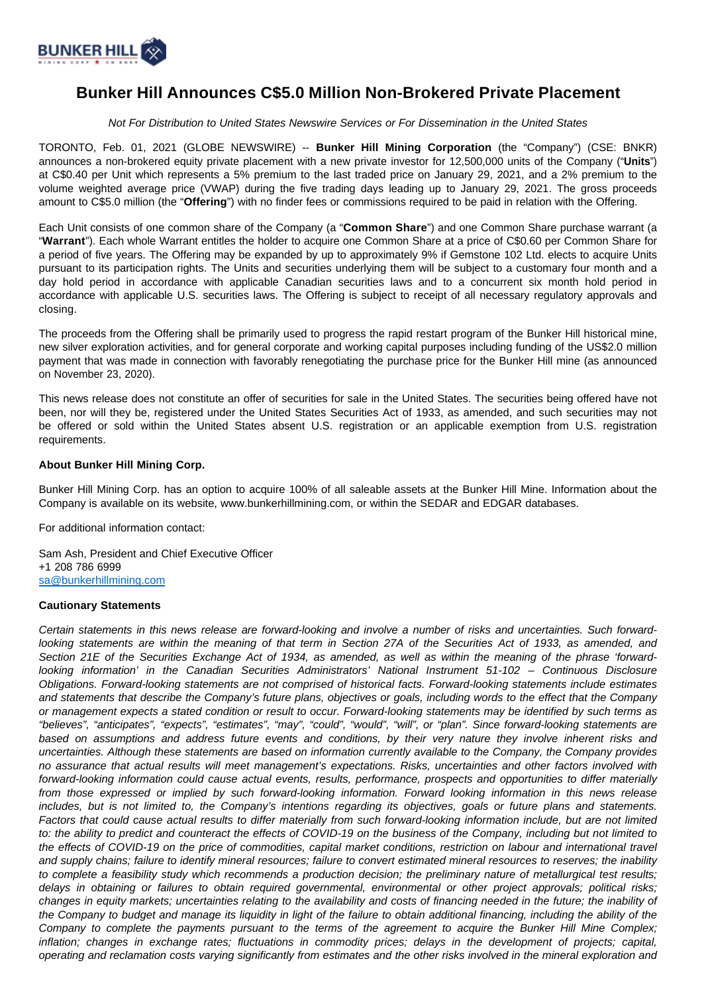

## **Bunker Hill Announces C\$5.0 Million Non-Brokered Private Placement**

Not For Distribution to United States Newswire Services or For Dissemination in the United States

TORONTO, Feb. 01, 2021 (GLOBE NEWSWIRE) -- **Bunker Hill Mining Corporation** (the "Company") (CSE: BNKR) announces a non-brokered equity private placement with a new private investor for 12,500,000 units of the Company ("**Units**") at C\$0.40 per Unit which represents a 5% premium to the last traded price on January 29, 2021, and a 2% premium to the volume weighted average price (VWAP) during the five trading days leading up to January 29, 2021. The gross proceeds amount to C\$5.0 million (the "**Offering**") with no finder fees or commissions required to be paid in relation with the Offering.

Each Unit consists of one common share of the Company (a "**Common Share**") and one Common Share purchase warrant (a "**Warrant**"). Each whole Warrant entitles the holder to acquire one Common Share at a price of C\$0.60 per Common Share for a period of five years. The Offering may be expanded by up to approximately 9% if Gemstone 102 Ltd. elects to acquire Units pursuant to its participation rights. The Units and securities underlying them will be subject to a customary four month and a day hold period in accordance with applicable Canadian securities laws and to a concurrent six month hold period in accordance with applicable U.S. securities laws. The Offering is subject to receipt of all necessary regulatory approvals and closing.

The proceeds from the Offering shall be primarily used to progress the rapid restart program of the Bunker Hill historical mine, new silver exploration activities, and for general corporate and working capital purposes including funding of the US\$2.0 million payment that was made in connection with favorably renegotiating the purchase price for the Bunker Hill mine (as announced on November 23, 2020).

This news release does not constitute an offer of securities for sale in the United States. The securities being offered have not been, nor will they be, registered under the United States Securities Act of 1933, as amended, and such securities may not be offered or sold within the United States absent U.S. registration or an applicable exemption from U.S. registration requirements.

## **About Bunker Hill Mining Corp.**

Bunker Hill Mining Corp. has an option to acquire 100% of all saleable assets at the Bunker Hill Mine. Information about the Company is available on its website, www.bunkerhillmining.com, or within the SEDAR and EDGAR databases.

For additional information contact:

Sam Ash, President and Chief Executive Officer +1 208 786 6999 [sa@bunkerhillmining.com](mailto:sa@bunkerhillmining.com)

## **Cautionary Statements**

Certain statements in this news release are forward-looking and involve a number of risks and uncertainties. Such forwardlooking statements are within the meaning of that term in Section 27A of the Securities Act of 1933, as amended, and Section 21E of the Securities Exchange Act of 1934, as amended, as well as within the meaning of the phrase 'forwardlooking information' in the Canadian Securities Administrators' National Instrument 51-102 – Continuous Disclosure Obligations. Forward-looking statements are not comprised of historical facts. Forward-looking statements include estimates and statements that describe the Company's future plans, objectives or goals, including words to the effect that the Company or management expects a stated condition or result to occur. Forward-looking statements may be identified by such terms as "believes", "anticipates", "expects", "estimates", "may", "could", "would", "will", or "plan". Since forward-looking statements are based on assumptions and address future events and conditions, by their very nature they involve inherent risks and uncertainties. Although these statements are based on information currently available to the Company, the Company provides no assurance that actual results will meet management's expectations. Risks, uncertainties and other factors involved with forward-looking information could cause actual events, results, performance, prospects and opportunities to differ materially from those expressed or implied by such forward-looking information. Forward looking information in this news release includes, but is not limited to, the Company's intentions regarding its objectives, goals or future plans and statements. Factors that could cause actual results to differ materially from such forward-looking information include, but are not limited to: the ability to predict and counteract the effects of COVID-19 on the business of the Company, including but not limited to the effects of COVID-19 on the price of commodities, capital market conditions, restriction on labour and international travel and supply chains; failure to identify mineral resources; failure to convert estimated mineral resources to reserves; the inability to complete a feasibility study which recommends a production decision; the preliminary nature of metallurgical test results; delays in obtaining or failures to obtain required governmental, environmental or other project approvals; political risks; changes in equity markets; uncertainties relating to the availability and costs of financing needed in the future; the inability of the Company to budget and manage its liquidity in light of the failure to obtain additional financing, including the ability of the Company to complete the payments pursuant to the terms of the agreement to acquire the Bunker Hill Mine Complex; inflation; changes in exchange rates; fluctuations in commodity prices; delays in the development of projects; capital, operating and reclamation costs varying significantly from estimates and the other risks involved in the mineral exploration and